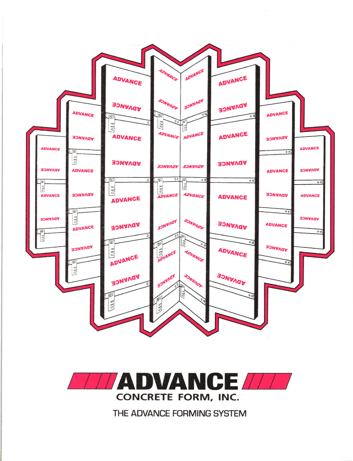



THE ADVANCE FORMING SYSTEM